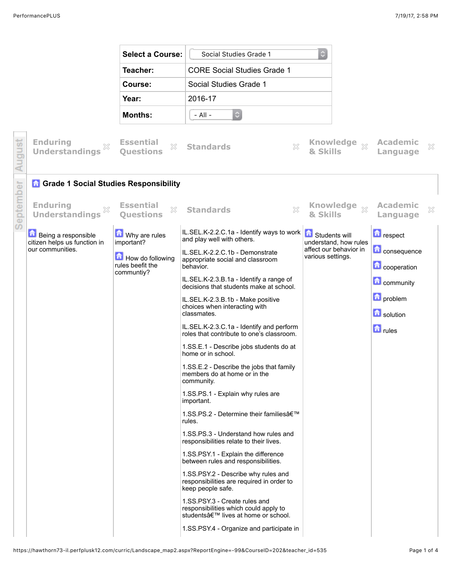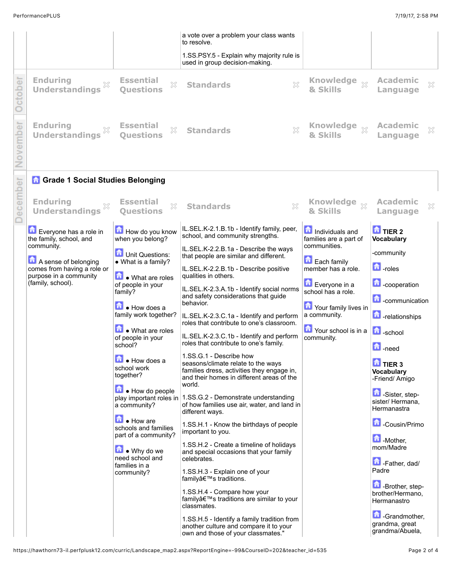|          |                                                                 |                                                                               | a vote over a problem your class wants<br>to resolve.                                                                                                                       |                                                             |                                                                               |
|----------|-----------------------------------------------------------------|-------------------------------------------------------------------------------|-----------------------------------------------------------------------------------------------------------------------------------------------------------------------------|-------------------------------------------------------------|-------------------------------------------------------------------------------|
|          |                                                                 |                                                                               | 1.SS.PSY.5 - Explain why majority rule is<br>used in group decision-making.                                                                                                 |                                                             |                                                                               |
| ber      | <b>Enduring</b><br>X<br><b>Understandings</b>                   | <b>Essential</b><br>X<br><b>Ouestions</b>                                     | ×<br><b>Standards</b>                                                                                                                                                       | <b>Knowledge</b><br>$\bar{\chi}$<br>& Skills                | <b>Academic</b><br>$\gtrsim$<br>Language                                      |
| ovember  | <b>Enduring</b><br>×<br><b>Understandings</b>                   | <b>Essential</b><br>X<br><b>Ouestions</b>                                     | ×<br><b>Standards</b>                                                                                                                                                       | & Skills                                                    | <b>Academic</b><br>X<br>Language                                              |
|          | <b>n</b> Grade 1 Social Studies Belonging                       |                                                                               |                                                                                                                                                                             |                                                             |                                                                               |
| December | <b>Enduring</b><br>X<br><b>Understandings</b>                   | <b>Essential</b><br>53<br><b>Questions</b>                                    | $\chi$<br><b>Standards</b>                                                                                                                                                  | Knowledge xx<br>& Skills                                    | <b>Academic</b><br>X<br>Language                                              |
|          | Everyone has a role in<br>the family, school, and<br>community. | How do you know<br>when you belong?<br>Unit Questions:                        | IL.SEL.K-2.1.B.1b - Identify family, peer,<br>school, and community strengths.<br>IL.SEL.K-2.2.B.1a - Describe the ways                                                     | Individuals and<br>families are a part of<br>communities.   | <b>O</b> TIER 2<br><b>Vocabulary</b><br>-community                            |
|          | A sense of belonging<br>comes from having a role or             | • What is a family?                                                           | that people are similar and different.<br>IL.SEL.K-2.2.B.1b - Describe positive                                                                                             | <b>Each family</b><br>member has a role.                    | $\blacksquare$ -roles                                                         |
|          | purpose in a community<br>(family, school).                     | What are roles<br>of people in your<br>family?<br>$\blacksquare$ • How does a | qualities in others.<br>IL.SEL.K-2.3.A.1b - Identify social norms<br>and safety considerations that guide<br>behavior.                                                      | Everyone in a<br>school has a role.<br>Your family lives in | <b>Cooperation</b><br><b>C</b> -communication                                 |
|          |                                                                 | family work together?<br>What are roles<br>of people in your                  | IL.SEL.K-2.3.C.1a - Identify and perform<br>roles that contribute to one's classroom.<br>IL.SEL.K-2.3.C.1b - Identify and perform<br>roles that contribute to one's family. | a community.<br>Your school is in a<br>community.           | <b>n</b> -relationships<br><b>D</b> -school                                   |
|          |                                                                 | school?<br>$\mathbf{\hat{h}}$ • How does a<br>school work<br>together?        | 1.SS.G.1 - Describe how<br>seasons/climate relate to the ways<br>families dress, activities they engage in,<br>and their homes in different areas of the<br>world.          |                                                             | <b>h</b> -need<br>$\frac{1}{2}$ TIER 3<br><b>Vocabulary</b><br>-Friend/ Amigo |
|          |                                                                 | $\blacksquare$ • How do people<br>play important roles in<br>a community?     | 1.SS.G.2 - Demonstrate understanding<br>of how families use air, water, and land in<br>different ways.                                                                      |                                                             | Sister, step-<br>sister/ Hermana,<br>Hermanastra                              |
|          |                                                                 | How are<br>schools and families<br>part of a community?                       | 1.SS.H.1 - Know the birthdays of people<br>important to you.                                                                                                                |                                                             | Cousin/Primo                                                                  |
|          |                                                                 | $\blacksquare$ • Why do we<br>need school and<br>families in a<br>community?  | 1.SS.H.2 - Create a timeline of holidays<br>and special occasions that your family<br>celebrates.<br>1.SS.H.3 - Explain one of your                                         |                                                             | Mother,<br>mom/Madre<br>Father, dad/<br>Padre                                 |
|          |                                                                 |                                                                               | family's traditions.<br>1.SS.H.4 - Compare how your<br>family's traditions are similar to your<br>classmates.                                                               |                                                             | <b>D</b> -Brother, step-<br>brother/Hermano,<br>Hermanastro                   |
|          |                                                                 |                                                                               | 1.SS.H.5 - Identify a family tradition from<br>another culture and compare it to your<br>own and those of your classmates."                                                 |                                                             | Grandmother,<br>grandma, great<br>grandma/Abuela,                             |

own and those of your classmates."

I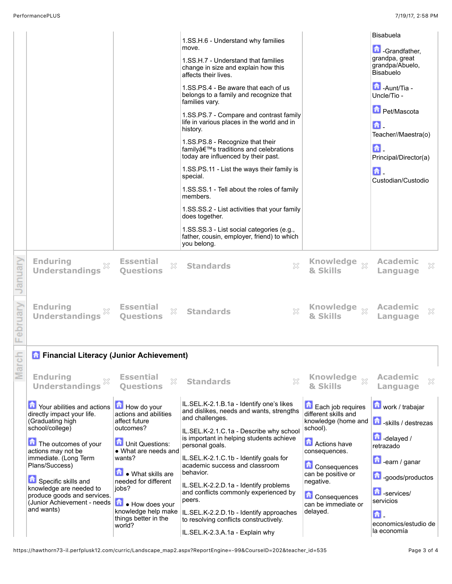| <b>Enduring</b><br><b>Understandings</b><br><b>The Your abilities and actions</b><br>directly impact your life.<br>(Graduating high<br>school/college)<br>The outcomes of your<br>actions may not be | <b>Essential</b><br>$\mathbb{X}$<br><b>Ouestions</b><br>How do your<br>actions and abilities<br>affect future<br>outcomes?<br><b>D</b> Unit Questions:<br>• What are needs and | $\mathbb{Z}^2$<br><b>Standards</b><br>IL.SEL.K-2.1.B.1a - Identify one's likes<br>and dislikes, needs and wants, strengths<br>and challenges.<br>IL.SEL.K-2.1.C.1a - Describe why school<br>is important in helping students achieve<br>personal goals.                                                                                                                                                    | <b>Knowledge</b><br>$\bar{\chi}^2$<br>& Skills<br>Each job requires<br>different skills and<br>knowledge (home and<br>school).<br><b>A</b> Actions have | <b>Academic</b><br>X<br>Language<br>work / trabajar<br>skills / destrezas<br>$\Box$ -delayed /<br>retrazado                    |
|------------------------------------------------------------------------------------------------------------------------------------------------------------------------------------------------------|--------------------------------------------------------------------------------------------------------------------------------------------------------------------------------|------------------------------------------------------------------------------------------------------------------------------------------------------------------------------------------------------------------------------------------------------------------------------------------------------------------------------------------------------------------------------------------------------------|---------------------------------------------------------------------------------------------------------------------------------------------------------|--------------------------------------------------------------------------------------------------------------------------------|
|                                                                                                                                                                                                      |                                                                                                                                                                                |                                                                                                                                                                                                                                                                                                                                                                                                            |                                                                                                                                                         |                                                                                                                                |
|                                                                                                                                                                                                      |                                                                                                                                                                                |                                                                                                                                                                                                                                                                                                                                                                                                            |                                                                                                                                                         |                                                                                                                                |
| <b>Enduring</b><br><b>Understandings</b>                                                                                                                                                             | <b>Essential</b><br>X<br><b>Ouestions</b>                                                                                                                                      | <b>Standards</b>                                                                                                                                                                                                                                                                                                                                                                                           | <b>Knowledge</b><br>$\chi$<br>& Skills                                                                                                                  | <b>Academic</b><br>X<br>Language                                                                                               |
| <b>Enduring</b><br><b>Understandings</b>                                                                                                                                                             | <b>Essential</b><br>X<br><b>Questions</b>                                                                                                                                      | <b>Standards</b>                                                                                                                                                                                                                                                                                                                                                                                           | <b>Knowledge</b><br>$\chi$<br>& Skills                                                                                                                  | <b>Academic</b><br>X<br>Language                                                                                               |
|                                                                                                                                                                                                      |                                                                                                                                                                                | life in various places in the world and in<br>history.<br>1.SS.PS.8 - Recognize that their<br>family's traditions and celebrations<br>today are influenced by their past.<br>1.SS.PS.11 - List the ways their family is<br>special.<br>1.SS.SS.1 - Tell about the roles of family<br>members.<br>does together.<br>1.SS.SS.3 - List social categories (e.g.,<br>father, cousin, employer, friend) to which |                                                                                                                                                         | 슮.<br>Teacher//Maestra(o)<br>奇。<br>Principal/Director(a)<br>侖.<br>Custodian/Custodio                                           |
|                                                                                                                                                                                                      |                                                                                                                                                                                | 1.SS.H.6 - Understand why families<br>move.<br>1.SS.H.7 - Understand that families<br>change in size and explain how this<br>affects their lives.<br>1.SS.PS.4 - Be aware that each of us<br>belongs to a family and recognize that<br>families vary.                                                                                                                                                      |                                                                                                                                                         | Bisabuela<br><b>Crandfather,</b><br>grandpa, great<br>grandpa/Abuelo,<br>Bisabuelo<br>Aunt/Tia -<br>Uncle/Tio -<br>Pet/Mascota |
|                                                                                                                                                                                                      |                                                                                                                                                                                |                                                                                                                                                                                                                                                                                                                                                                                                            | you belong.<br>X<br>×<br><b>A</b> Financial Literacy (Junior Achievement)                                                                               | 1.SS.PS.7 - Compare and contrast family<br>1.SS.SS.2 - List activities that your family                                        |

IL.SEL.K-2.2.D.1b - Identify approaches to resolving conflicts constructively. IL.SEL.K-2.3.A.1a - Explain why

 $\mathbf{a}$ economics/estudio de la economía

can be immediate or

delayed.

https://hawthorn73-il.perfplusk12.com/curric/Landscape\_map2.aspx?ReportEngine=-99&CourseID=202&teacher\_id=535 Page 3 of 4

knowledge help make things better in the

world?

(Junior Achievement - needs

(Junior Achievement - needs **Lule** How does your<br>and wants)